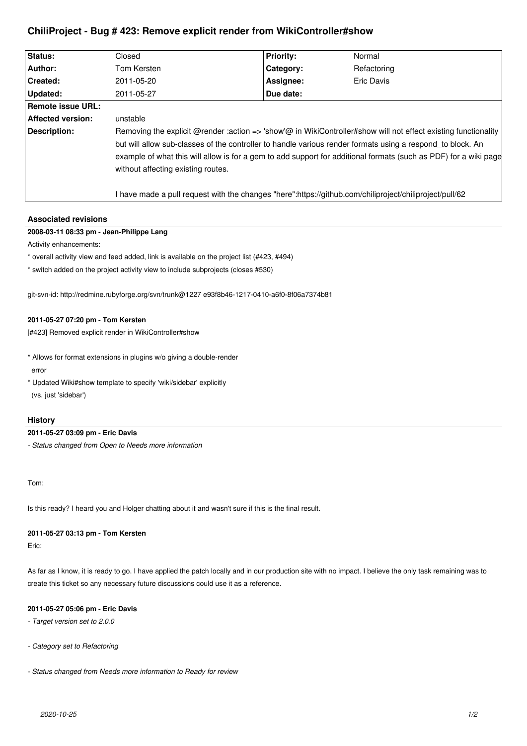# **ChiliProject - Bug # 423: Remove explicit render from WikiController#show**

| Status:                  | Closed                                                                                                                                                                                                                                                                                                                                                                                 | <b>Priority:</b> | Normal      |
|--------------------------|----------------------------------------------------------------------------------------------------------------------------------------------------------------------------------------------------------------------------------------------------------------------------------------------------------------------------------------------------------------------------------------|------------------|-------------|
| Author:                  | Tom Kersten                                                                                                                                                                                                                                                                                                                                                                            | Category:        | Refactoring |
| Created:                 | 2011-05-20                                                                                                                                                                                                                                                                                                                                                                             | Assignee:        | Eric Davis  |
| Updated:                 | 2011-05-27                                                                                                                                                                                                                                                                                                                                                                             | Due date:        |             |
| Remote issue URL:        |                                                                                                                                                                                                                                                                                                                                                                                        |                  |             |
| <b>Affected version:</b> | unstable                                                                                                                                                                                                                                                                                                                                                                               |                  |             |
| Description:             | Removing the explicit @render :action => 'show'@ in WikiController#show will not effect existing functionality<br>but will allow sub-classes of the controller to handle various render formats using a respond to block. An<br>example of what this will allow is for a gem to add support for additional formats (such as PDF) for a wiki page<br>without affecting existing routes. |                  |             |
|                          | have made a pull request with the changes "here":https://github.com/chiliproject/chiliproject/pull/62                                                                                                                                                                                                                                                                                  |                  |             |

## **Associated revisions**

## **2008-03-11 08:33 pm - Jean-Philippe Lang**

Activity enhancements:

\* overall activity view and feed added, link is available on the project list (#423, #494)

\* switch added on the project activity view to include subprojects (closes #530)

git-svn-id: http://redmine.rubyforge.org/svn/trunk@1227 e93f8b46-1217-0410-a6f0-8f06a7374b81

## **2011-05-27 07:20 pm - Tom Kersten**

[#423] Removed explicit render in WikiController#show

- \* Allows for format extensions in plugins w/o giving a double-render error
- \* Updated Wiki#show template to specify 'wiki/sidebar' explicitly (vs. just 'sidebar')

## **History**

#### **2011-05-27 03:09 pm - Eric Davis**

*- Status changed from Open to Needs more information*

Tom:

Is this ready? I heard you and Holger chatting about it and wasn't sure if this is the final result.

#### **2011-05-27 03:13 pm - Tom Kersten**

Eric:

As far as I know, it is ready to go. I have applied the patch locally and in our production site with no impact. I believe the only task remaining was to create this ticket so any necessary future discussions could use it as a reference.

#### **2011-05-27 05:06 pm - Eric Davis**

- *Target version set to 2.0.0*
- *Category set to Refactoring*
- *Status changed from Needs more information to Ready for review*